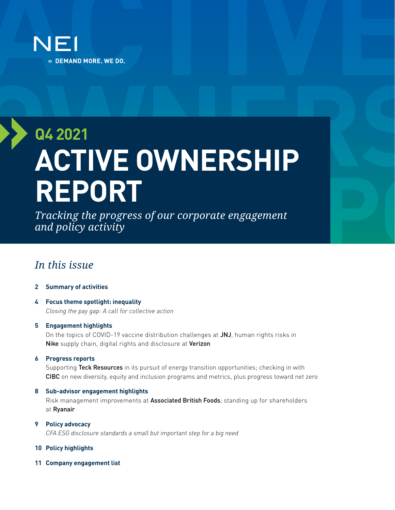

# **Q4 2021 ACTIVE OWNERSHIP REPORT**

*Tracking the progress of our corporate engagement and policy activity*

# *In this issue*

#### **[2 Summary of activities](#page-1-0)**

**[4 Focus theme spotlight: inequality](#page-3-0)** *Closing the pay gap: A call for collective action*

#### **[5 Engagement highlights](#page-4-0)**

On the topics of COVID-19 vaccine distribution challenges at JNJ, human rights risks in Nike supply chain, digital rights and disclosure at Verizon

**[6 Progress reports](#page-5-0)**

Supporting Teck Resources in its pursuit of energy transition opportunities; checking in with CIBC on new diversity, equity and inclusion programs and metrics, plus progress toward net zero

#### **[8 Sub-advisor engagement highlights](#page-7-0)**

Risk management improvements at Associated British Foods; standing up for shareholders at Ryanair

# **[9 Policy advocacy](#page-8-0)**

*CFA ESG disclosure standards a small but important step for a big need*

#### **10 [Policy highlights](#page-9-0)**

**11 [Company engagement list](#page-10-0)**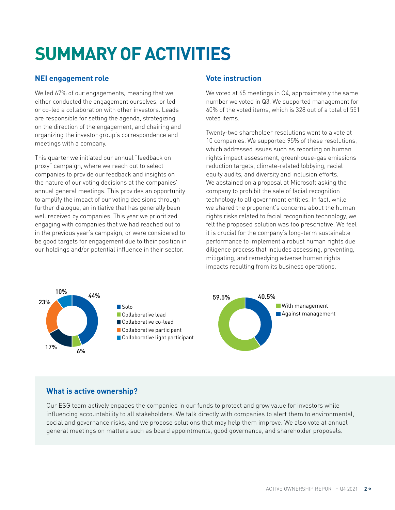# <span id="page-1-0"></span>**SUMMARY OF ACTIVITIES**

### **NEI engagement role**

We led 67% of our engagements, meaning that we either conducted the engagement ourselves, or led or co-led a collaboration with other investors. Leads are responsible for setting the agenda, strategizing on the direction of the engagement, and chairing and organizing the investor group's correspondence and meetings with a company.

This quarter we initiated our annual "feedback on proxy" campaign, where we reach out to select companies to provide our feedback and insights on the nature of our voting decisions at the companies' annual general meetings. This provides an opportunity to amplify the impact of our voting decisions through further dialogue, an initiative that has generally been well received by companies. This year we prioritized engaging with companies that we had reached out to in the previous year's campaign, or were considered to be good targets for engagement due to their position in our holdings and/or potential influence in their sector.

## **Vote instruction**

We voted at 65 meetings in Q4, approximately the same number we voted in Q3. We supported management for 60% of the voted items, which is 328 out of a total of 551 voted items.

Twenty-two shareholder resolutions went to a vote at 10 companies. We supported 95% of these resolutions, which addressed issues such as reporting on human rights impact assessment, greenhouse-gas emissions reduction targets, climate-related lobbying, racial equity audits, and diversity and inclusion efforts. We abstained on a proposal at Microsoft asking the company to prohibit the sale of facial recognition technology to all government entities. In fact, while we shared the proponent's concerns about the human rights risks related to facial recognition technology, we felt the proposed solution was too prescriptive. We feel it is crucial for the company's long-term sustainable performance to implement a robust human rights due diligence process that includes assessing, preventing, mitigating, and remedying adverse human rights impacts resulting from its business operations.



# **What is active ownership?**

Our ESG team actively engages the companies in our funds to protect and grow value for investors while influencing accountability to all stakeholders. We talk directly with companies to alert them to environmental, social and governance risks, and we propose solutions that may help them improve. We also vote at annual general meetings on matters such as board appointments, good governance, and shareholder proposals.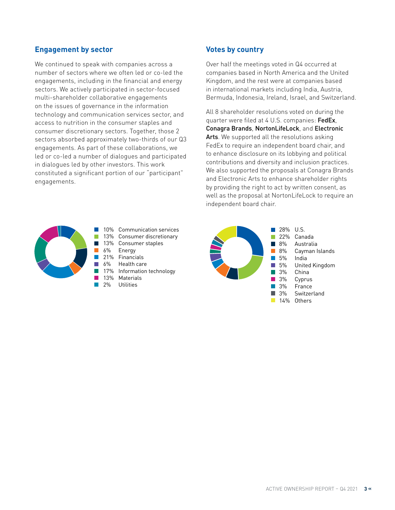### **Engagement by sector**

We continued to speak with companies across a number of sectors where we often led or co-led the engagements, including in the financial and energy sectors. We actively participated in sector-focused multi-shareholder collaborative engagements on the issues of governance in the information technology and communication services sector, and access to nutrition in the consumer staples and consumer discretionary sectors. Together, those 2 sectors absorbed approximately two-thirds of our Q3 engagements. As part of these collaborations, we led or co-led a number of dialogues and participated in dialogues led by other investors. This work constituted a significant portion of our "participant" engagements.

#### **Votes by country**

Over half the meetings voted in Q4 occurred at companies based in North America and the United Kingdom, and the rest were at companies based in international markets including India, Austria, Bermuda, Indonesia, Ireland, Israel, and Switzerland.

All 8 shareholder resolutions voted on during the quarter were filed at 4 U.S. companies: FedEx, Conagra Brands, NortonLifeLock, and Electronic Arts. We supported all the resolutions asking FedEx to require an independent board chair, and to enhance disclosure on its lobbying and political contributions and diversity and inclusion practices. We also supported the proposals at Conagra Brands and Electronic Arts to enhance shareholder rights by providing the right to act by written consent, as well as the proposal at NortonLifeLock to require an independent board chair.



10% Communication services 13% Consumer discretionary 13% Consumer staples 21% Financials 6% Health care 17% Information technology

28% U.S. 22% Canada Australia 8% 8% Cayman Islands 5% India 5% United Kingdom 3% China 3% Cyprus 3% **France** 3% **Switzerland**  $\blacksquare$ 14% Others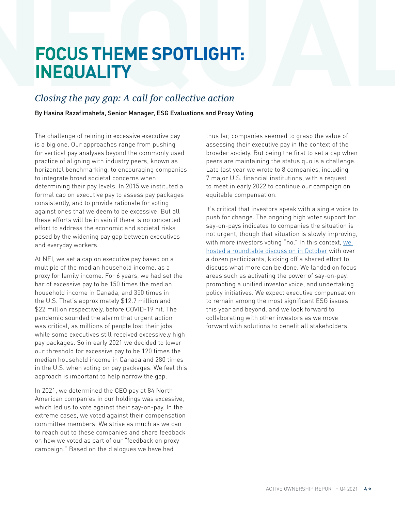# <span id="page-3-0"></span>**FOCUS THEME SPOTLIGHT: INEQUALITY**

# *Closing the pay gap: A call for collective action*

By Hasina Razafimahefa, Senior Manager, ESG Evaluations and Proxy Voting

The challenge of reining in excessive executive pay is a big one. Our approaches range from pushing for vertical pay analyses beyond the commonly used practice of aligning with industry peers, known as horizontal benchmarking, to encouraging companies to integrate broad societal concerns when determining their pay levels. In 2015 we instituted a formal cap on executive pay to assess pay packages consistently, and to provide rationale for voting against ones that we deem to be excessive. But all these efforts will be in vain if there is no concerted effort to address the economic and societal risks posed by the widening pay gap between executives and everyday workers.

At NEI, we set a cap on executive pay based on a multiple of the median household income, as a proxy for family income. For 6 years, we had set the bar of excessive pay to be 150 times the median household income in Canada, and 350 times in the U.S. That's approximately \$12.7 million and \$22 million respectively, before COVID-19 hit. The pandemic sounded the alarm that urgent action was critical, as millions of people lost their jobs while some executives still received excessively high pay packages. So in early 2021 we decided to lower our threshold for excessive pay to be 120 times the median household income in Canada and 280 times in the U.S. when voting on pay packages. We feel this approach is important to help narrow the gap.

In 2021, we determined the CEO pay at 84 North American companies in our holdings was excessive, which led us to vote against their say-on-pay. In the extreme cases, we voted against their compensation committee members. We strive as much as we can to reach out to these companies and share feedback on how we voted as part of our "feedback on proxy campaign." Based on the dialogues we have had

thus far, companies seemed to grasp the value of assessing their executive pay in the context of the broader society. But being the first to set a cap when peers are maintaining the status quo is a challenge. Late last year we wrote to 8 companies, including 7 major U.S. financial institutions, with a request to meet in early 2022 to continue our campaign on equitable compensation.

It's critical that investors speak with a single voice to push for change. The ongoing high voter support for say-on-pays indicates to companies the situation is not urgent, though that situation is slowly improving, with more investors voting "no." In this context, [we](https://blog.neiinvestments.com/teaming-up-on-solutions-for-high-ceo-pay/)  [hosted a roundtable discussion in October](https://blog.neiinvestments.com/teaming-up-on-solutions-for-high-ceo-pay/) with over a dozen participants, kicking off a shared effort to discuss what more can be done. We landed on focus areas such as activating the power of say-on-pay, promoting a unified investor voice, and undertaking policy initiatives. We expect executive compensation to remain among the most significant ESG issues this year and beyond, and we look forward to collaborating with other investors as we move forward with solutions to benefit all stakeholders.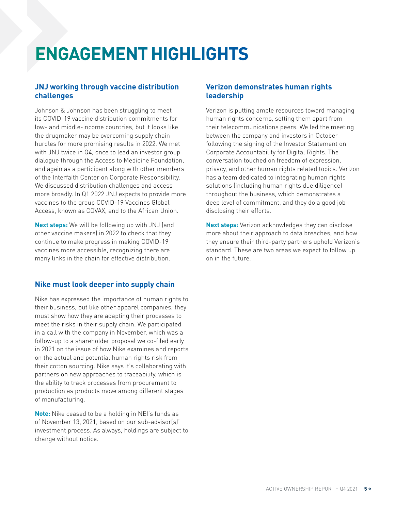# <span id="page-4-0"></span>**ENGAGEMENT HIGHLIGHTS**

## **JNJ working through vaccine distribution challenges**

Johnson & Johnson has been struggling to meet its COVID-19 vaccine distribution commitments for low- and middle-income countries, but it looks like the drugmaker may be overcoming supply chain hurdles for more promising results in 2022. We met with JNJ twice in Q4, once to lead an investor group dialogue through the Access to Medicine Foundation, and again as a participant along with other members of the Interfaith Center on Corporate Responsibility. We discussed distribution challenges and access more broadly. In Q1 2022 JNJ expects to provide more vaccines to the group COVID-19 Vaccines Global Access, known as COVAX, and to the African Union.

**Next steps:** We will be following up with JNJ (and other vaccine makers) in 2022 to check that they continue to make progress in making COVID-19 vaccines more accessible, recognizing there are many links in the chain for effective distribution.

### **Nike must look deeper into supply chain**

Nike has expressed the importance of human rights to their business, but like other apparel companies, they must show how they are adapting their processes to meet the risks in their supply chain. We participated in a call with the company in November, which was a follow-up to a shareholder proposal we co-filed early in 2021 on the issue of how Nike examines and reports on the actual and potential human rights risk from their cotton sourcing. Nike says it's collaborating with partners on new approaches to traceability, which is the ability to track processes from procurement to production as products move among different stages of manufacturing.

**Note:** Nike ceased to be a holding in NEI's funds as of November 13, 2021, based on our sub-advisor(s)' investment process. As always, holdings are subject to change without notice.

## **Verizon demonstrates human rights leadership**

Verizon is putting ample resources toward managing human rights concerns, setting them apart from their telecommunications peers. We led the meeting between the company and investors in October following the signing of the Investor Statement on Corporate Accountability for Digital Rights. The conversation touched on freedom of expression, privacy, and other human rights related topics. Verizon has a team dedicated to integrating human rights solutions (including human rights due diligence) throughout the business, which demonstrates a deep level of commitment, and they do a good job disclosing their efforts.

**Next steps:** Verizon acknowledges they can disclose more about their approach to data breaches, and how they ensure their third-party partners uphold Verizon's standard. These are two areas we expect to follow up on in the future.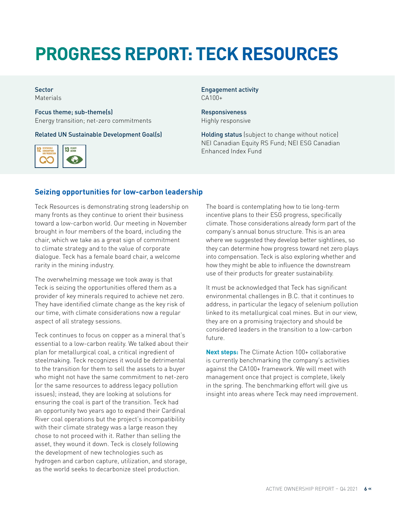# <span id="page-5-0"></span>**PROGRESS REPORT: TECK RESOURCES**

#### Sector Materials

Focus theme; sub-theme(s) Energy transition; net-zero commitments

Related UN Sustainable Development Goal(s)



Engagement activity CA100+

**Responsiveness** Highly responsive

Holding status (subject to change without notice) NEI Canadian Equity RS Fund; NEI ESG Canadian Enhanced Index Fund

### **Seizing opportunities for low-carbon leadership**

Teck Resources is demonstrating strong leadership on many fronts as they continue to orient their business toward a low-carbon world. Our meeting in November brought in four members of the board, including the chair, which we take as a great sign of commitment to climate strategy and to the value of corporate dialogue. Teck has a female board chair, a welcome rarity in the mining industry.

The overwhelming message we took away is that Teck is seizing the opportunities offered them as a provider of key minerals required to achieve net zero. They have identified climate change as the key risk of our time, with climate considerations now a regular aspect of all strategy sessions.

Teck continues to focus on copper as a mineral that's essential to a low-carbon reality. We talked about their plan for metallurgical coal, a critical ingredient of steelmaking. Teck recognizes it would be detrimental to the transition for them to sell the assets to a buyer who might not have the same commitment to net-zero (or the same resources to address legacy pollution issues); instead, they are looking at solutions for ensuring the coal is part of the transition. Teck had an opportunity two years ago to expand their Cardinal River coal operations but the project's incompatibility with their climate strategy was a large reason they chose to not proceed with it. Rather than selling the asset, they wound it down. Teck is closely following the development of new technologies such as hydrogen and carbon capture, utilization, and storage, as the world seeks to decarbonize steel production.

The board is contemplating how to tie long-term incentive plans to their ESG progress, specifically climate. Those considerations already form part of the company's annual bonus structure. This is an area where we suggested they develop better sightlines, so they can determine how progress toward net zero plays into compensation. Teck is also exploring whether and how they might be able to influence the downstream use of their products for greater sustainability.

It must be acknowledged that Teck has significant environmental challenges in B.C. that it continues to address, in particular the legacy of selenium pollution linked to its metallurgical coal mines. But in our view, they are on a promising trajectory and should be considered leaders in the transition to a low-carbon future.

**Next steps:** The Climate Action 100+ collaborative is currently benchmarking the company's activities against the CA100+ framework. We will meet with management once that project is complete, likely in the spring. The benchmarking effort will give us insight into areas where Teck may need improvement.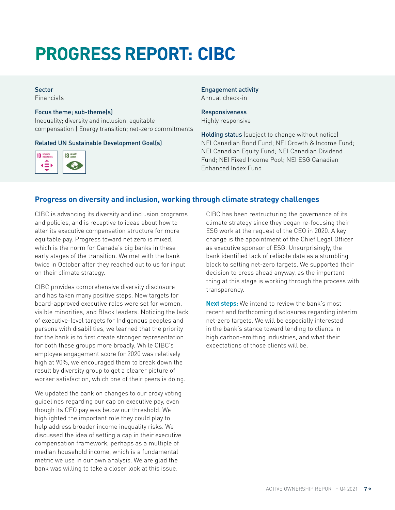# **PROGRESS REPORT: CIBC**

# Sector

Financials

#### Focus theme; sub-theme(s)

Inequality; diversity and inclusion, equitable compensation | Energy transition; net-zero commitments

#### Related UN Sustainable Development Goal(s)



#### Engagement activity Annual check-in

#### **Responsiveness** Highly responsive

Holding status (subject to change without notice) NEI Canadian Bond Fund; NEI Growth & Income Fund; NEI Canadian Equity Fund; NEI Canadian Dividend Fund; NEI Fixed Income Pool; NEI ESG Canadian Enhanced Index Fund

### **Progress on diversity and inclusion, working through climate strategy challenges**

CIBC is advancing its diversity and inclusion programs and policies, and is receptive to ideas about how to alter its executive compensation structure for more equitable pay. Progress toward net zero is mixed, which is the norm for Canada's big banks in these early stages of the transition. We met with the bank twice in October after they reached out to us for input on their climate strategy.

CIBC provides comprehensive diversity disclosure and has taken many positive steps. New targets for board-approved executive roles were set for women, visible minorities, and Black leaders. Noticing the lack of executive-level targets for Indigenous peoples and persons with disabilities, we learned that the priority for the bank is to first create stronger representation for both these groups more broadly. While CIBC's employee engagement score for 2020 was relatively high at 90%, we encouraged them to break down the result by diversity group to get a clearer picture of worker satisfaction, which one of their peers is doing.

We updated the bank on changes to our proxy voting guidelines regarding our cap on executive pay, even though its CEO pay was below our threshold. We highlighted the important role they could play to help address broader income inequality risks. We discussed the idea of setting a cap in their executive compensation framework, perhaps as a multiple of median household income, which is a fundamental metric we use in our own analysis. We are glad the bank was willing to take a closer look at this issue.

CIBC has been restructuring the governance of its climate strategy since they began re-focusing their ESG work at the request of the CEO in 2020. A key change is the appointment of the Chief Legal Officer as executive sponsor of ESG. Unsurprisingly, the bank identified lack of reliable data as a stumbling block to setting net-zero targets. We supported their decision to press ahead anyway, as the important thing at this stage is working through the process with transparency.

**Next steps:** We intend to review the bank's most recent and forthcoming disclosures regarding interim net-zero targets. We will be especially interested in the bank's stance toward lending to clients in high carbon-emitting industries, and what their expectations of those clients will be.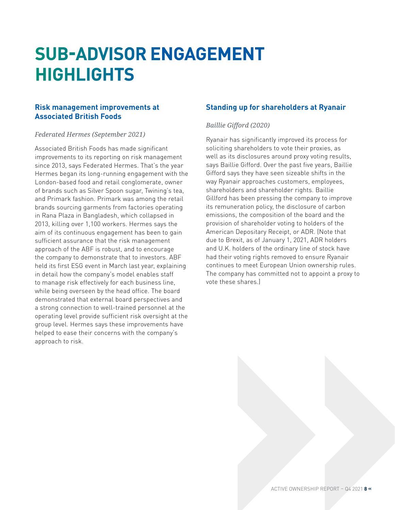# <span id="page-7-0"></span>**SUB-ADVISOR ENGAGEMENT HIGHLIGHTS**

### **Risk management improvements at Associated British Foods**

#### *Federated Hermes (September 2021)*

Associated British Foods has made significant improvements to its reporting on risk management since 2013, says Federated Hermes. That's the year Hermes began its long-running engagement with the London-based food and retail conglomerate, owner of brands such as Silver Spoon sugar, Twining's tea, and Primark fashion. Primark was among the retail brands sourcing garments from factories operating in Rana Plaza in Bangladesh, which collapsed in 2013, killing over 1,100 workers. Hermes says the aim of its continuous engagement has been to gain sufficient assurance that the risk management approach of the ABF is robust, and to encourage the company to demonstrate that to investors. ABF held its first ESG event in March last year, explaining in detail how the company's model enables staff to manage risk effectively for each business line, while being overseen by the head office. The board demonstrated that external board perspectives and a strong connection to well-trained personnel at the operating level provide sufficient risk oversight at the group level. Hermes says these improvements have helped to ease their concerns with the company's approach to risk.

## **Standing up for shareholders at Ryanair**

### *Baillie Gifford (2020)*

Ryanair has significantly improved its process for soliciting shareholders to vote their proxies, as well as its disclosures around proxy voting results, says Baillie Gifford. Over the past five years, Baillie Gifford says they have seen sizeable shifts in the way Ryanair approaches customers, employees, shareholders and shareholder rights. Baillie Gillford has been pressing the company to improve its remuneration policy, the disclosure of carbon emissions, the composition of the board and the provision of shareholder voting to holders of the American Depositary Receipt, or ADR. (Note that due to Brexit, as of January 1, 2021, ADR holders and U.K. holders of the ordinary line of stock have had their voting rights removed to ensure Ryanair continues to meet European Union ownership rules. The company has committed not to appoint a proxy to vote these shares.)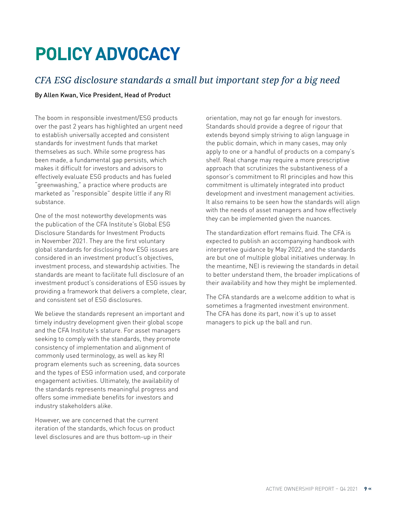# <span id="page-8-0"></span>**POLICY ADVOCACY**

# *CFA ESG disclosure standards a small but important step for a big need*

#### By Allen Kwan, Vice President, Head of Product

The boom in responsible investment/ESG products over the past 2 years has highlighted an urgent need to establish universally accepted and consistent standards for investment funds that market themselves as such. While some progress has been made, a fundamental gap persists, which makes it difficult for investors and advisors to effectively evaluate ESG products and has fueled "greenwashing," a practice where products are marketed as "responsible" despite little if any RI substance.

One of the most noteworthy developments was the publication of the CFA Institute's Global ESG Disclosure Standards for Investment Products in November 2021. They are the first voluntary global standards for disclosing how ESG issues are considered in an investment product's objectives, investment process, and stewardship activities. The standards are meant to facilitate full disclosure of an investment product's considerations of ESG issues by providing a framework that delivers a complete, clear, and consistent set of ESG disclosures.

We believe the standards represent an important and timely industry development given their global scope and the CFA Institute's stature. For asset managers seeking to comply with the standards, they promote consistency of implementation and alignment of commonly used terminology, as well as key RI program elements such as screening, data sources and the types of ESG information used, and corporate engagement activities. Ultimately, the availability of the standards represents meaningful progress and offers some immediate benefits for investors and industry stakeholders alike.

However, we are concerned that the current iteration of the standards, which focus on product level disclosures and are thus bottom-up in their

orientation, may not go far enough for investors. Standards should provide a degree of rigour that extends beyond simply striving to align language in the public domain, which in many cases, may only apply to one or a handful of products on a company's shelf. Real change may require a more prescriptive approach that scrutinizes the substantiveness of a sponsor's commitment to RI principles and how this commitment is ultimately integrated into product development and investment management activities. It also remains to be seen how the standards will align with the needs of asset managers and how effectively they can be implemented given the nuances.

The standardization effort remains fluid. The CFA is expected to publish an accompanying handbook with interpretive guidance by May 2022, and the standards are but one of multiple global initiatives underway. In the meantime, NEI is reviewing the standards in detail to better understand them, the broader implications of their availability and how they might be implemented.

The CFA standards are a welcome addition to what is sometimes a fragmented investment environment. The CFA has done its part, now it's up to asset managers to pick up the ball and run.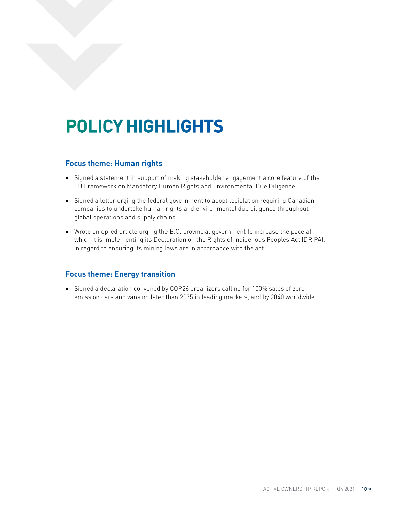# <span id="page-9-0"></span>**POLICY HIGHLIGHTS**

#### **Focus theme: Human rights**

- Signed a statement in support of making stakeholder engagement a core feature of the EU Framework on Mandatory Human Rights and Environmental Due Diligence
- Signed a letter urging the federal government to adopt legislation requiring Canadian companies to undertake human rights and environmental due diligence throughout global operations and supply chains
- Wrote an op-ed article urging the B.C. provincial government to increase the pace at which it is implementing its Declaration on the Rights of Indigenous Peoples Act (DRIPA), in regard to ensuring its mining laws are in accordance with the act

#### **Focus theme: Energy transition**

• Signed a declaration convened by COP26 organizers calling for 100% sales of zeroemission cars and vans no later than 2035 in leading markets, and by 2040 worldwide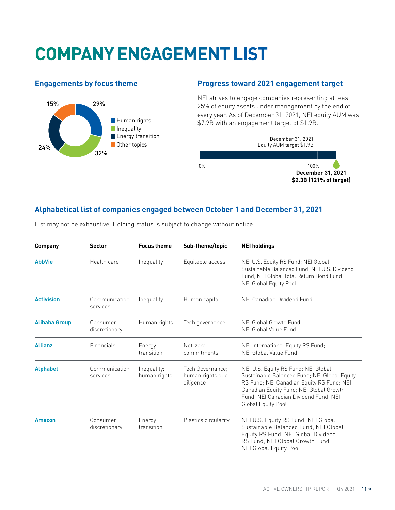# <span id="page-10-0"></span>**COMPANY ENGAGEMENT LIST**

# **Engagements by focus theme**



### **Progress toward 2021 engagement target**

NEI strives to engage companies representing at least 25% of equity assets under management by the end of every year. As of December 31, 2021, NEI equity AUM was \$7.9B with an engagement target of \$1.9B.



### **Alphabetical list of companies engaged between October 1 and December 31, 2021**

| <b>Company</b>       | <b>Sector</b>             | <b>Focus theme</b>          | Sub-theme/topic                                   | <b>NEI holdings</b>                                                                                                                                                                                                                        |
|----------------------|---------------------------|-----------------------------|---------------------------------------------------|--------------------------------------------------------------------------------------------------------------------------------------------------------------------------------------------------------------------------------------------|
| <b>AbbVie</b>        | Health care               | Inequality                  | Equitable access                                  | NEI U.S. Equity RS Fund; NEI Global<br>Sustainable Balanced Fund; NEI U.S. Dividend<br>Fund: NEI Global Total Return Bond Fund:<br>NEI Global Equity Pool                                                                                  |
| <b>Activision</b>    | Communication<br>services | Inequality                  | Human capital                                     | NEI Canadian Dividend Fund                                                                                                                                                                                                                 |
| <b>Alibaba Group</b> | Consumer<br>discretionary | Human rights                | Tech governance                                   | NEI Global Growth Fund:<br>NEI Global Value Fund                                                                                                                                                                                           |
| <b>Allianz</b>       | Financials                | Energy<br>transition        | Net-zero<br>commitments                           | NEI International Equity RS Fund;<br>NEI Global Value Fund                                                                                                                                                                                 |
| <b>Alphabet</b>      | Communication<br>services | Inequality;<br>human rights | Tech Governance:<br>human rights due<br>diligence | NEI U.S. Equity RS Fund; NEI Global<br>Sustainable Balanced Fund; NEI Global Equity<br>RS Fund; NEI Canadian Equity RS Fund; NEI<br>Canadian Equity Fund; NEI Global Growth<br>Fund: NEI Canadian Dividend Fund: NEI<br>Global Equity Pool |
| Amazon               | Consumer<br>discretionary | Energy<br>transition        | Plastics circularity                              | NEI U.S. Equity RS Fund; NEI Global<br>Sustainable Balanced Fund; NEI Global<br>Equity RS Fund; NEI Global Dividend<br>RS Fund; NEI Global Growth Fund;<br><b>NEI Global Equity Pool</b>                                                   |

List may not be exhaustive. Holding status is subject to change without notice.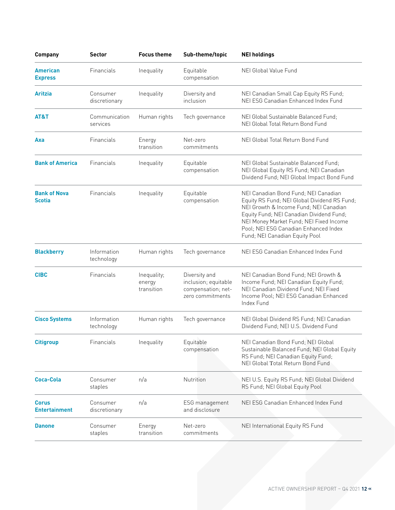| <b>Company</b>                       | <b>Sector</b>             | <b>Focus theme</b>                  | Sub-theme/topic                                                                 | <b>NEI holdings</b>                                                                                                                                                                                                                                                                              |
|--------------------------------------|---------------------------|-------------------------------------|---------------------------------------------------------------------------------|--------------------------------------------------------------------------------------------------------------------------------------------------------------------------------------------------------------------------------------------------------------------------------------------------|
| <b>American</b><br><b>Express</b>    | Financials                | Inequality                          | Equitable<br>compensation                                                       | NEI Global Value Fund                                                                                                                                                                                                                                                                            |
| <b>Aritzia</b>                       | Consumer<br>discretionary | Inequality                          | Diversity and<br>inclusion                                                      | NEI Canadian Small Cap Equity RS Fund;<br>NEI ESG Canadian Enhanced Index Fund                                                                                                                                                                                                                   |
| AT&T                                 | Communication<br>services | Human rights                        | Tech governance                                                                 | NEI Global Sustainable Balanced Fund;<br>NEI Global Total Return Bond Fund                                                                                                                                                                                                                       |
| Axa                                  | Financials                | Energy<br>transition                | Net-zero<br>commitments                                                         | NEI Global Total Return Bond Fund                                                                                                                                                                                                                                                                |
| <b>Bank of America</b>               | Financials                | Inequality                          | Equitable<br>compensation                                                       | NEI Global Sustainable Balanced Fund;<br>NEI Global Equity RS Fund; NEI Canadian<br>Dividend Fund; NEI Global Impact Bond Fund                                                                                                                                                                   |
| <b>Bank of Nova</b><br><b>Scotia</b> | Financials                | Inequality                          | Equitable<br>compensation                                                       | NEI Canadian Bond Fund; NEI Canadian<br>Equity RS Fund; NEI Global Dividend RS Fund;<br>NEI Growth & Income Fund; NEI Canadian<br>Equity Fund; NEI Canadian Dividend Fund;<br>NEI Money Market Fund; NEI Fixed Income<br>Pool; NEI ESG Canadian Enhanced Index<br>Fund; NEI Canadian Equity Pool |
| <b>Blackberry</b>                    | Information<br>technology | Human rights                        | Tech governance                                                                 | NEI ESG Canadian Enhanced Index Fund                                                                                                                                                                                                                                                             |
| <b>CIBC</b>                          | Financials                | Inequality;<br>energy<br>transition | Diversity and<br>inclusion; equitable<br>compensation; net-<br>zero commitments | NEI Canadian Bond Fund; NEI Growth &<br>Income Fund; NEI Canadian Equity Fund;<br>NEI Canadian Dividend Fund; NEI Fixed<br>Income Pool; NEI ESG Canadian Enhanced<br>Index Fund                                                                                                                  |
| <b>Cisco Systems</b>                 | Information<br>technology | Human rights                        | Tech governance                                                                 | NEI Global Dividend RS Fund; NEI Canadian<br>Dividend Fund; NEI U.S. Dividend Fund                                                                                                                                                                                                               |
| <b>Citigroup</b>                     | Financials                | Inequality                          | Equitable<br>compensation                                                       | NEI Canadian Bond Fund; NEI Global<br>Sustainable Balanced Fund; NEI Global Equity<br>RS Fund; NEI Canadian Equity Fund;<br>NEI Global Total Return Bond Fund                                                                                                                                    |
| Coca-Cola                            | Consumer<br>staples       | n/a                                 | Nutrition                                                                       | NEI U.S. Equity RS Fund; NEI Global Dividend<br>RS Fund; NEI Global Equity Pool                                                                                                                                                                                                                  |
| <b>Corus</b><br><b>Entertainment</b> | Consumer<br>discretionary | n/a                                 | ESG management<br>and disclosure                                                | NEI ESG Canadian Enhanced Index Fund                                                                                                                                                                                                                                                             |
| <b>Danone</b>                        | Consumer<br>staples       | Energy<br>transition                | Net-zero<br>commitments                                                         | NEI International Equity RS Fund                                                                                                                                                                                                                                                                 |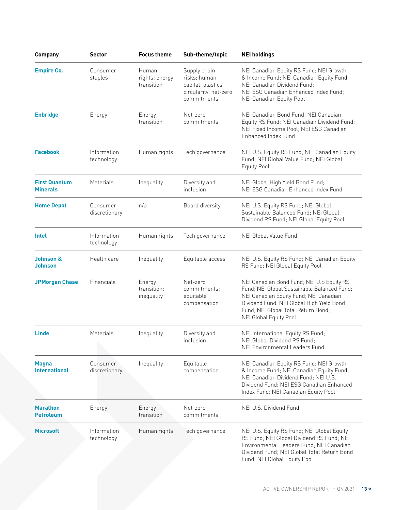| <b>Company</b>                          | Sector                    | <b>Focus theme</b>                    | Sub-theme/topic                                                                           | <b>NEI holdings</b>                                                                                                                                                                                                                                     |
|-----------------------------------------|---------------------------|---------------------------------------|-------------------------------------------------------------------------------------------|---------------------------------------------------------------------------------------------------------------------------------------------------------------------------------------------------------------------------------------------------------|
| <b>Empire Co.</b>                       | Consumer<br>staples       | Human<br>rights; energy<br>transition | Supply chain<br>risks; human<br>capital; plastics<br>circularity; net-zero<br>commitments | NEI Canadian Equity RS Fund; NEI Growth<br>& Income Fund; NEI Canadian Equity Fund;<br>NEI Canadian Dividend Fund;<br>NEI ESG Canadian Enhanced Index Fund;<br>NEI Canadian Equity Pool                                                                 |
| <b>Enbridge</b>                         | Energy                    | Energy<br>transition                  | Net-zero<br>commitments                                                                   | NEI Canadian Bond Fund; NEI Canadian<br>Equity RS Fund; NEI Canadian Dividend Fund;<br>NEI Fixed Income Pool; NEI ESG Canadian<br>Enhanced Index Fund                                                                                                   |
| <b>Facebook</b>                         | Information<br>technology | Human rights                          | Tech governance                                                                           | NEI U.S. Equity RS Fund; NEI Canadian Equity<br>Fund; NEI Global Value Fund; NEI Global<br><b>Equity Pool</b>                                                                                                                                           |
| <b>First Quantum</b><br><b>Minerals</b> | Materials                 | Inequality                            | Diversity and<br>inclusion                                                                | NEI Global High Yield Bond Fund;<br>NEI ESG Canadian Enhanced Index Fund                                                                                                                                                                                |
| <b>Home Depot</b>                       | Consumer<br>discretionary | n/a                                   | Board diversity                                                                           | NEI U.S. Equity RS Fund; NEI Global<br>Sustainable Balanced Fund: NEI Global<br>Dividend RS Fund; NEI Global Equity Pool                                                                                                                                |
| <b>Intel</b>                            | Information<br>technology | Human rights                          | Tech governance                                                                           | NEI Global Value Fund                                                                                                                                                                                                                                   |
| Johnson &<br>Johnson                    | Health care               | Inequality                            | Equitable access                                                                          | NEI U.S. Equity RS Fund; NEI Canadian Equity<br>RS Fund; NEI Global Equity Pool                                                                                                                                                                         |
| <b>JPMorgan Chase</b>                   | Financials                | Energy<br>transition;<br>inequality   | Net-zero<br>commitments;<br>equitable<br>compensation                                     | NEI Canadian Bond Fund; NEI U.S Equity RS<br>Fund; NEI Global Sustainable Balanced Fund;<br>NEI Canadian Equity Fund; NEI Canadian<br>Dividend Fund; NEI Global High Yield Bond<br>Fund; NEI Global Total Return Bond;<br><b>NEI Global Equity Pool</b> |
| <b>Linde</b>                            | Materials                 | Inequality                            | Diversity and<br>inclusion                                                                | NEI International Equity RS Fund;<br>NEI Global Dividend RS Fund;<br>NEI Environmental Leaders Fund                                                                                                                                                     |
| <b>Magna</b><br><b>International</b>    | Consumer<br>discretionary | Inequality                            | Equitable<br>compensation                                                                 | NEI Canadian Equity RS Fund; NEI Growth<br>& Income Fund; NEI Canadian Equity Fund;<br>NEI Canadian Dividend Fund; NEI U.S.<br>Dividend Fund; NEI ESG Canadian Enhanced<br>Index Fund; NEI Canadian Equity Pool                                         |
| <b>Marathon</b><br><b>Petroleum</b>     | Energy                    | Energy<br>transition                  | Net-zero<br>commitments                                                                   | NEI U.S. Dividend Fund                                                                                                                                                                                                                                  |
| <b>Microsoft</b>                        | Information<br>technology | Human rights                          | Tech governance                                                                           | NEI U.S. Equity RS Fund; NEI Global Equity<br>RS Fund; NEI Global Dividend RS Fund; NEI<br>Environmental Leaders Fund; NEI Canadian<br>Dividend Fund; NEI Global Total Return Bond<br>Fund; NEI Global Equity Pool                                      |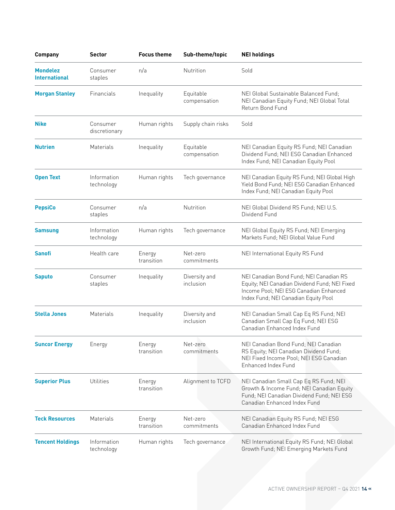| <b>Company</b>                          | <b>Sector</b>             | <b>Focus theme</b>   | Sub-theme/topic            | <b>NEI holdings</b>                                                                                                                                                        |
|-----------------------------------------|---------------------------|----------------------|----------------------------|----------------------------------------------------------------------------------------------------------------------------------------------------------------------------|
| <b>Mondelez</b><br><b>International</b> | Consumer<br>staples       | n/a                  | <b>Nutrition</b>           | Sold                                                                                                                                                                       |
| <b>Morgan Stanley</b>                   | Financials                | Inequality           | Equitable<br>compensation  | NEI Global Sustainable Balanced Fund;<br>NEI Canadian Equity Fund; NEI Global Total<br>Return Bond Fund                                                                    |
| <b>Nike</b>                             | Consumer<br>discretionary | Human rights         | Supply chain risks         | Sold                                                                                                                                                                       |
| <b>Nutrien</b>                          | Materials                 | Inequality           | Equitable<br>compensation  | NEI Canadian Equity RS Fund; NEI Canadian<br>Dividend Fund; NEI ESG Canadian Enhanced<br>Index Fund; NEI Canadian Equity Pool                                              |
| <b>Open Text</b>                        | Information<br>technology | Human rights         | Tech governance            | NEI Canadian Equity RS Fund; NEI Global High<br>Yield Bond Fund; NEI ESG Canadian Enhanced<br>Index Fund; NEI Canadian Equity Pool                                         |
| <b>PepsiCo</b>                          | Consumer<br>staples       | n/a                  | Nutrition                  | NEI Global Dividend RS Fund; NEI U.S.<br>Dividend Fund                                                                                                                     |
| <b>Samsung</b>                          | Information<br>technology | Human rights         | Tech governance            | NEI Global Equity RS Fund; NEI Emerging<br>Markets Fund; NEI Global Value Fund                                                                                             |
| <b>Sanofi</b>                           | Health care               | Energy<br>transition | Net-zero<br>commitments    | NEI International Equity RS Fund                                                                                                                                           |
| <b>Saputo</b>                           | Consumer<br>staples       | Inequality           | Diversity and<br>inclusion | NEI Canadian Bond Fund; NEI Canadian RS<br>Equity; NEI Canadian Dividend Fund; NEI Fixed<br>Income Pool; NEI ESG Canadian Enhanced<br>Index Fund; NEI Canadian Equity Pool |
| <b>Stella Jones</b>                     | Materials                 | Inequality           | Diversity and<br>inclusion | NEI Canadian Small Cap Eq RS Fund; NEI<br>Canadian Small Cap Eq Fund; NEI ESG<br>Canadian Enhanced Index Fund                                                              |
| <b>Suncor Energy</b>                    | Energy                    | Energy<br>transition | Net-zero<br>commitments    | NEI Canadian Bond Fund; NEI Canadian<br>RS Equity; NEI Canadian Dividend Fund;<br>NEI Fixed Income Pool; NEI ESG Canadian<br>Enhanced Index Fund                           |
| <b>Superior Plus</b>                    | Utilities                 | Energy<br>transition | Alignment to TCFD          | NEI Canadian Small Cap Eq RS Fund; NEI<br>Growth & Income Fund; NEI Canadian Equity<br>Fund; NEI Canadian Dividend Fund; NEI ESG<br>Canadian Enhanced Index Fund           |
| <b>Teck Resources</b>                   | Materials                 | Energy<br>transition | Net-zero<br>commitments    | NEI Canadian Equity RS Fund; NEI ESG<br>Canadian Enhanced Index Fund                                                                                                       |
| <b>Tencent Holdings</b>                 | Information<br>technology | Human rights         | Tech governance            | NEI International Equity RS Fund; NEI Global<br>Growth Fund; NEI Emerging Markets Fund                                                                                     |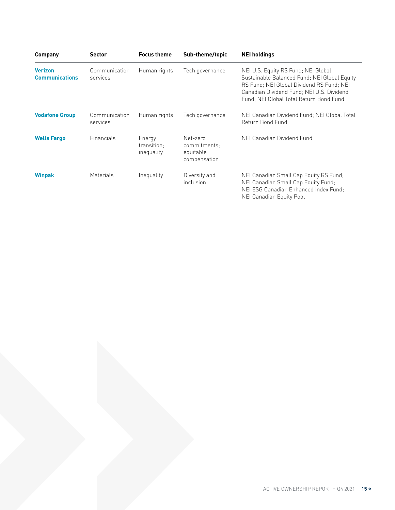| <b>Company</b>                          | <b>Sector</b>             | <b>Focus theme</b>                  | Sub-theme/topic                                       | <b>NEI holdings</b>                                                                                                                                                                                                      |
|-----------------------------------------|---------------------------|-------------------------------------|-------------------------------------------------------|--------------------------------------------------------------------------------------------------------------------------------------------------------------------------------------------------------------------------|
| <b>Verizon</b><br><b>Communications</b> | Communication<br>services | Human rights                        | Tech governance                                       | NEI U.S. Equity RS Fund; NEI Global<br>Sustainable Balanced Fund; NEI Global Equity<br>RS Fund: NEI Global Dividend RS Fund: NEI<br>Canadian Dividend Fund: NEI U.S. Dividend<br>Fund: NEI Global Total Return Bond Fund |
| <b>Vodafone Group</b>                   | Communication<br>services | Human rights                        | Tech governance                                       | NEI Canadian Dividend Fund; NEI Global Total<br>Return Bond Fund                                                                                                                                                         |
| <b>Wells Fargo</b>                      | Financials                | Energy<br>transition;<br>inequality | Net-zero<br>commitments;<br>equitable<br>compensation | NEI Canadian Dividend Fund                                                                                                                                                                                               |
| <b>Winpak</b>                           | <b>Materials</b>          | Inequality                          | Diversity and<br>inclusion                            | NEI Canadian Small Cap Equity RS Fund;<br>NEI Canadian Small Cap Equity Fund;<br>NEI ESG Canadian Enhanced Index Fund:<br>NEI Canadian Equity Pool                                                                       |